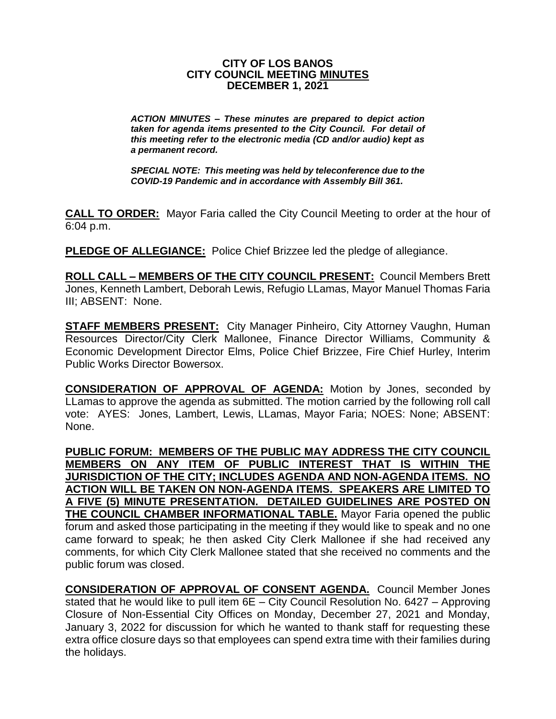#### **CITY OF LOS BANOS CITY COUNCIL MEETING MINUTES DECEMBER 1, 2021**

*ACTION MINUTES – These minutes are prepared to depict action taken for agenda items presented to the City Council. For detail of this meeting refer to the electronic media (CD and/or audio) kept as a permanent record.*

*SPECIAL NOTE: This meeting was held by teleconference due to the COVID-19 Pandemic and in accordance with Assembly Bill 361.*

**CALL TO ORDER:** Mayor Faria called the City Council Meeting to order at the hour of 6:04 p.m.

**PLEDGE OF ALLEGIANCE:** Police Chief Brizzee led the pledge of allegiance.

**ROLL CALL – MEMBERS OF THE CITY COUNCIL PRESENT:** Council Members Brett Jones, Kenneth Lambert, Deborah Lewis, Refugio LLamas, Mayor Manuel Thomas Faria III; ABSENT: None.

**STAFF MEMBERS PRESENT:** City Manager Pinheiro, City Attorney Vaughn, Human Resources Director/City Clerk Mallonee, Finance Director Williams, Community & Economic Development Director Elms, Police Chief Brizzee, Fire Chief Hurley, Interim Public Works Director Bowersox.

**CONSIDERATION OF APPROVAL OF AGENDA:** Motion by Jones, seconded by LLamas to approve the agenda as submitted. The motion carried by the following roll call vote: AYES: Jones, Lambert, Lewis, LLamas, Mayor Faria; NOES: None; ABSENT: None.

**PUBLIC FORUM: MEMBERS OF THE PUBLIC MAY ADDRESS THE CITY COUNCIL MEMBERS ON ANY ITEM OF PUBLIC INTEREST THAT IS WITHIN THE JURISDICTION OF THE CITY; INCLUDES AGENDA AND NON-AGENDA ITEMS. NO ACTION WILL BE TAKEN ON NON-AGENDA ITEMS. SPEAKERS ARE LIMITED TO A FIVE (5) MINUTE PRESENTATION. DETAILED GUIDELINES ARE POSTED ON THE COUNCIL CHAMBER INFORMATIONAL TABLE.** Mayor Faria opened the public forum and asked those participating in the meeting if they would like to speak and no one came forward to speak; he then asked City Clerk Mallonee if she had received any comments, for which City Clerk Mallonee stated that she received no comments and the public forum was closed.

**CONSIDERATION OF APPROVAL OF CONSENT AGENDA.** Council Member Jones stated that he would like to pull item 6E – City Council Resolution No. 6427 – Approving Closure of Non-Essential City Offices on Monday, December 27, 2021 and Monday, January 3, 2022 for discussion for which he wanted to thank staff for requesting these extra office closure days so that employees can spend extra time with their families during the holidays.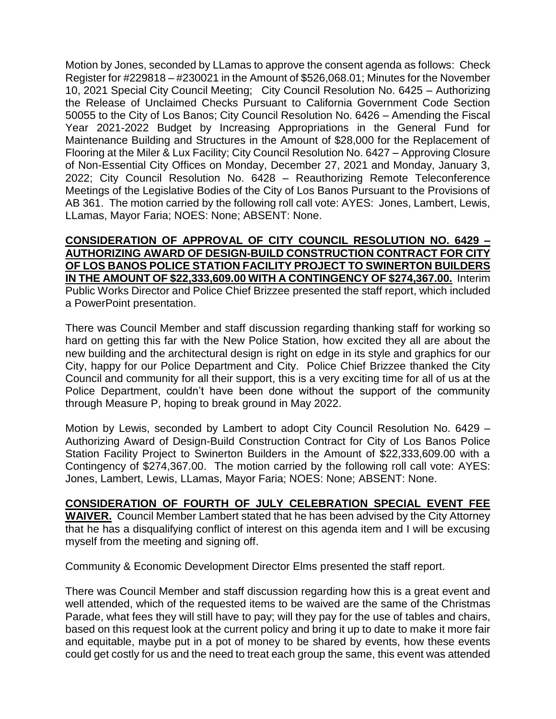Motion by Jones, seconded by LLamas to approve the consent agenda as follows: Check Register for #229818 – #230021 in the Amount of \$526,068.01; Minutes for the November 10, 2021 Special City Council Meeting; City Council Resolution No. 6425 – Authorizing the Release of Unclaimed Checks Pursuant to California Government Code Section 50055 to the City of Los Banos; City Council Resolution No. 6426 – Amending the Fiscal Year 2021-2022 Budget by Increasing Appropriations in the General Fund for Maintenance Building and Structures in the Amount of \$28,000 for the Replacement of Flooring at the Miler & Lux Facility; City Council Resolution No. 6427 – Approving Closure of Non-Essential City Offices on Monday, December 27, 2021 and Monday, January 3, 2022; City Council Resolution No. 6428 – Reauthorizing Remote Teleconference Meetings of the Legislative Bodies of the City of Los Banos Pursuant to the Provisions of AB 361. The motion carried by the following roll call vote: AYES: Jones, Lambert, Lewis, LLamas, Mayor Faria; NOES: None; ABSENT: None.

**CONSIDERATION OF APPROVAL OF CITY COUNCIL RESOLUTION NO. 6429 – AUTHORIZING AWARD OF DESIGN-BUILD CONSTRUCTION CONTRACT FOR CITY OF LOS BANOS POLICE STATION FACILITY PROJECT TO SWINERTON BUILDERS IN THE AMOUNT OF \$22,333,609.00 WITH A CONTINGENCY OF \$274,367.00.** Interim Public Works Director and Police Chief Brizzee presented the staff report, which included a PowerPoint presentation.

There was Council Member and staff discussion regarding thanking staff for working so hard on getting this far with the New Police Station, how excited they all are about the new building and the architectural design is right on edge in its style and graphics for our City, happy for our Police Department and City. Police Chief Brizzee thanked the City Council and community for all their support, this is a very exciting time for all of us at the Police Department, couldn't have been done without the support of the community through Measure P, hoping to break ground in May 2022.

Motion by Lewis, seconded by Lambert to adopt City Council Resolution No. 6429 – Authorizing Award of Design-Build Construction Contract for City of Los Banos Police Station Facility Project to Swinerton Builders in the Amount of \$22,333,609.00 with a Contingency of \$274,367.00. The motion carried by the following roll call vote: AYES: Jones, Lambert, Lewis, LLamas, Mayor Faria; NOES: None; ABSENT: None.

### **CONSIDERATION OF FOURTH OF JULY CELEBRATION SPECIAL EVENT FEE WAIVER.** Council Member Lambert stated that he has been advised by the City Attorney that he has a disqualifying conflict of interest on this agenda item and I will be excusing myself from the meeting and signing off.

Community & Economic Development Director Elms presented the staff report.

There was Council Member and staff discussion regarding how this is a great event and well attended, which of the requested items to be waived are the same of the Christmas Parade, what fees they will still have to pay; will they pay for the use of tables and chairs, based on this request look at the current policy and bring it up to date to make it more fair and equitable, maybe put in a pot of money to be shared by events, how these events could get costly for us and the need to treat each group the same, this event was attended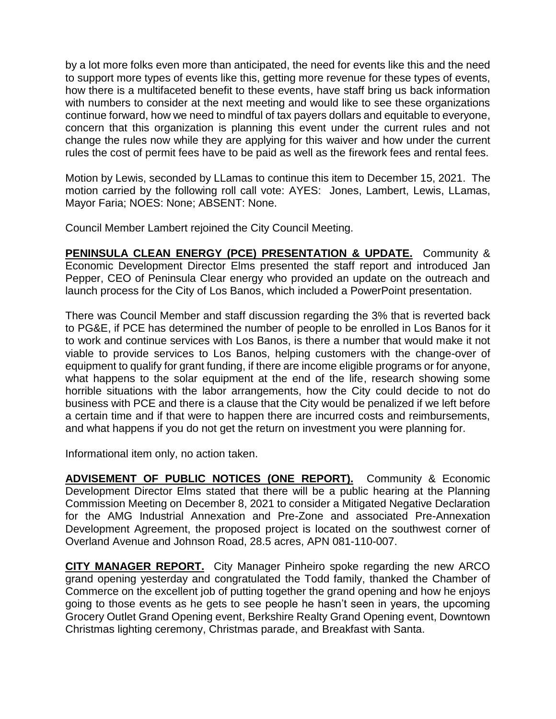by a lot more folks even more than anticipated, the need for events like this and the need to support more types of events like this, getting more revenue for these types of events, how there is a multifaceted benefit to these events, have staff bring us back information with numbers to consider at the next meeting and would like to see these organizations continue forward, how we need to mindful of tax payers dollars and equitable to everyone, concern that this organization is planning this event under the current rules and not change the rules now while they are applying for this waiver and how under the current rules the cost of permit fees have to be paid as well as the firework fees and rental fees.

Motion by Lewis, seconded by LLamas to continue this item to December 15, 2021. The motion carried by the following roll call vote: AYES: Jones, Lambert, Lewis, LLamas, Mayor Faria; NOES: None; ABSENT: None.

Council Member Lambert rejoined the City Council Meeting.

**PENINSULA CLEAN ENERGY (PCE) PRESENTATION & UPDATE.** Community & Economic Development Director Elms presented the staff report and introduced Jan Pepper, CEO of Peninsula Clear energy who provided an update on the outreach and launch process for the City of Los Banos, which included a PowerPoint presentation.

There was Council Member and staff discussion regarding the 3% that is reverted back to PG&E, if PCE has determined the number of people to be enrolled in Los Banos for it to work and continue services with Los Banos, is there a number that would make it not viable to provide services to Los Banos, helping customers with the change-over of equipment to qualify for grant funding, if there are income eligible programs or for anyone, what happens to the solar equipment at the end of the life, research showing some horrible situations with the labor arrangements, how the City could decide to not do business with PCE and there is a clause that the City would be penalized if we left before a certain time and if that were to happen there are incurred costs and reimbursements, and what happens if you do not get the return on investment you were planning for.

Informational item only, no action taken.

**ADVISEMENT OF PUBLIC NOTICES (ONE REPORT).** Community & Economic Development Director Elms stated that there will be a public hearing at the Planning Commission Meeting on December 8, 2021 to consider a Mitigated Negative Declaration for the AMG Industrial Annexation and Pre-Zone and associated Pre-Annexation Development Agreement, the proposed project is located on the southwest corner of Overland Avenue and Johnson Road, 28.5 acres, APN 081-110-007.

**CITY MANAGER REPORT.** City Manager Pinheiro spoke regarding the new ARCO grand opening yesterday and congratulated the Todd family, thanked the Chamber of Commerce on the excellent job of putting together the grand opening and how he enjoys going to those events as he gets to see people he hasn't seen in years, the upcoming Grocery Outlet Grand Opening event, Berkshire Realty Grand Opening event, Downtown Christmas lighting ceremony, Christmas parade, and Breakfast with Santa.